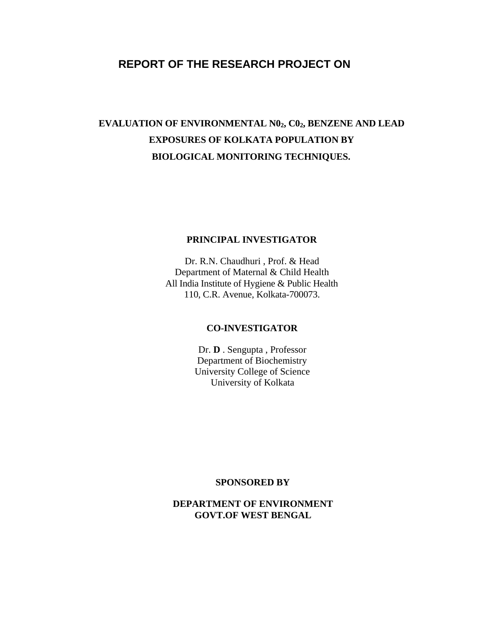# **REPORT OF THE RESEARCH PROJECT ON**

# EVALUATION OF ENVIRONMENTAL N0<sub>2</sub>, C0<sub>2</sub>, BENZENE AND LEAD **EXPOSURES OF KOLKATA POPULATION BY BIOLOGICAL MONITORING TECHNIQUES.**

### **PRINCIPAL INVESTIGATOR**

Dr. R.N. Chaudhuri , Prof. & Head Department of Maternal & Child Health All India Institute of Hygiene & Public Health 110, C.R. Avenue, Kolkata-700073.

### **CO-INVESTIGATOR**

Dr. **D** . Sengupta , Professor Department of Biochemistry University College of Science University of Kolkata

### **SPONSORED BY**

**DEPARTMENT OF ENVIRONMENT GOVT.OF WEST BENGAL**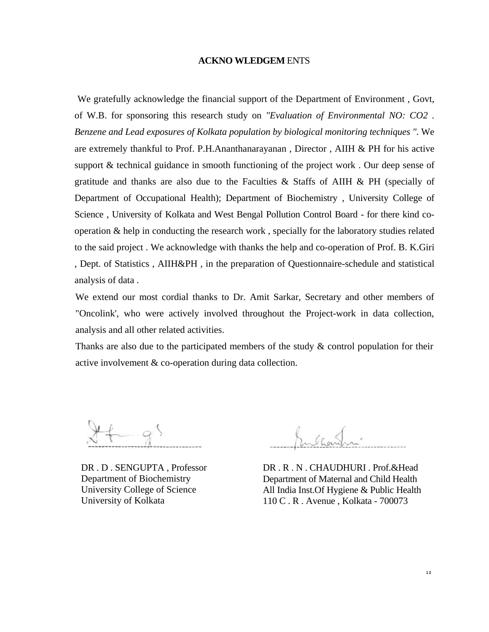#### **ACKNO WLEDGEM** ENTS

We gratefully acknowledge the financial support of the Department of Environment , Govt, of W.B. for sponsoring this research study on *"Evaluation of Environmental NO: CO2 . Benzene and Lead exposures of Kolkata population by biological monitoring techniques ".* We are extremely thankful to Prof. P.H.Ananthanarayanan , Director , AIIH & PH for his active support & technical guidance in smooth functioning of the project work . Our deep sense of gratitude and thanks are also due to the Faculties & Staffs of AIIH  $\&$  PH (specially of Department of Occupational Health); Department of Biochemistry , University College of Science , University of Kolkata and West Bengal Pollution Control Board - for there kind cooperation & help in conducting the research work , specially for the laboratory studies related to the said project . We acknowledge with thanks the help and co-operation of Prof. B. K.Giri , Dept. of Statistics , AIIH&PH , in the preparation of Questionnaire-schedule and statistical analysis of data .

We extend our most cordial thanks to Dr. Amit Sarkar, Secretary and other members of "Oncolink', who were actively involved throughout the Project-work in data collection, analysis and all other related activities.

Thanks are also due to the participated members of the study  $\&$  control population for their active involvement & co-operation during data collection.

DR . D . SENGUPTA , Professor Department of Biochemistry University College of Science University of Kolkata

 $\kappa \sim$ 

DR . R . N . CHAUDHURI . Prof.&Head Department of Maternal and Child Health All India Inst.Of Hygiene & Public Health 110 C . R . Avenue , Kolkata - 700073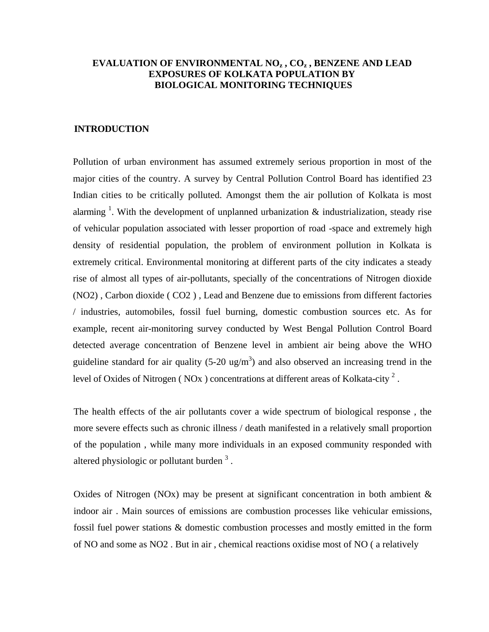### **EVALUATION OF ENVIRONMENTAL NOz , COz , BENZENE AND LEAD EXPOSURES OF KOLKATA POPULATION BY BIOLOGICAL MONITORING TECHNIQUES**

### **INTRODUCTION**

Pollution of urban environment has assumed extremely serious proportion in most of the major cities of the country. A survey by Central Pollution Control Board has identified 23 Indian cities to be critically polluted. Amongst them the air pollution of Kolkata is most alarming <sup>1</sup>. With the development of unplanned urbanization  $\&$  industrialization, steady rise of vehicular population associated with lesser proportion of road -space and extremely high density of residential population, the problem of environment pollution in Kolkata is extremely critical. Environmental monitoring at different parts of the city indicates a steady rise of almost all types of air-pollutants, specially of the concentrations of Nitrogen dioxide (NO2) , Carbon dioxide ( CO2 ) , Lead and Benzene due to emissions from different factories / industries, automobiles, fossil fuel burning, domestic combustion sources etc. As for example, recent air-monitoring survey conducted by West Bengal Pollution Control Board detected average concentration of Benzene level in ambient air being above the WHO guideline standard for air quality  $(5{\text -}20 \text{ ug/m}^3)$  and also observed an increasing trend in the level of Oxides of Nitrogen (NOx) concentrations at different areas of Kolkata-city<sup>2</sup>.

The health effects of the air pollutants cover a wide spectrum of biological response , the more severe effects such as chronic illness / death manifested in a relatively small proportion of the population , while many more individuals in an exposed community responded with altered physiologic or pollutant burden  $3$ .

Oxides of Nitrogen (NOx) may be present at significant concentration in both ambient  $\&$ indoor air . Main sources of emissions are combustion processes like vehicular emissions, fossil fuel power stations & domestic combustion processes and mostly emitted in the form of NO and some as NO2 . But in air , chemical reactions oxidise most of NO ( a relatively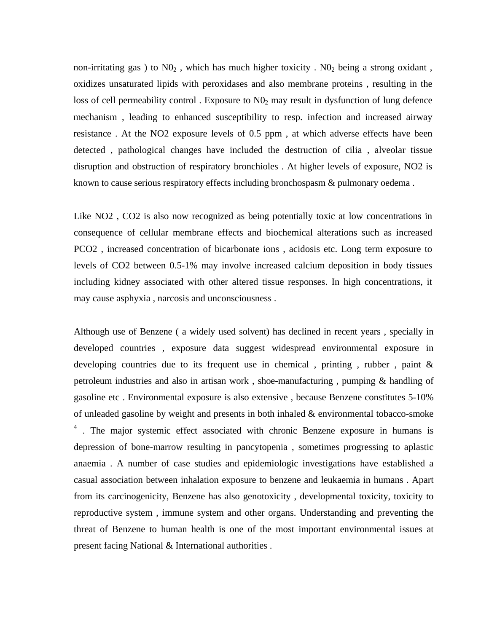non-irritating gas ) to  $N0_2$ , which has much higher toxicity.  $N0_2$  being a strong oxidant, oxidizes unsaturated lipids with peroxidases and also membrane proteins , resulting in the loss of cell permeability control . Exposure to  $N_0$  may result in dysfunction of lung defence mechanism , leading to enhanced susceptibility to resp. infection and increased airway resistance . At the NO2 exposure levels of 0.5 ppm , at which adverse effects have been detected , pathological changes have included the destruction of cilia , alveolar tissue disruption and obstruction of respiratory bronchioles . At higher levels of exposure, NO2 is known to cause serious respiratory effects including bronchospasm & pulmonary oedema .

Like NO2 , CO2 is also now recognized as being potentially toxic at low concentrations in consequence of cellular membrane effects and biochemical alterations such as increased PCO2 , increased concentration of bicarbonate ions , acidosis etc. Long term exposure to levels of CO2 between 0.5-1% may involve increased calcium deposition in body tissues including kidney associated with other altered tissue responses. In high concentrations, it may cause asphyxia , narcosis and unconsciousness .

Although use of Benzene ( a widely used solvent) has declined in recent years , specially in developed countries , exposure data suggest widespread environmental exposure in developing countries due to its frequent use in chemical , printing , rubber , paint & petroleum industries and also in artisan work , shoe-manufacturing , pumping & handling of gasoline etc . Environmental exposure is also extensive , because Benzene constitutes 5-10% of unleaded gasoline by weight and presents in both inhaled & environmental tobacco-smoke <sup>4</sup>. The major systemic effect associated with chronic Benzene exposure in humans is depression of bone-marrow resulting in pancytopenia , sometimes progressing to aplastic anaemia . A number of case studies and epidemiologic investigations have established a casual association between inhalation exposure to benzene and leukaemia in humans . Apart from its carcinogenicity, Benzene has also genotoxicity , developmental toxicity, toxicity to reproductive system , immune system and other organs. Understanding and preventing the threat of Benzene to human health is one of the most important environmental issues at present facing National & International authorities .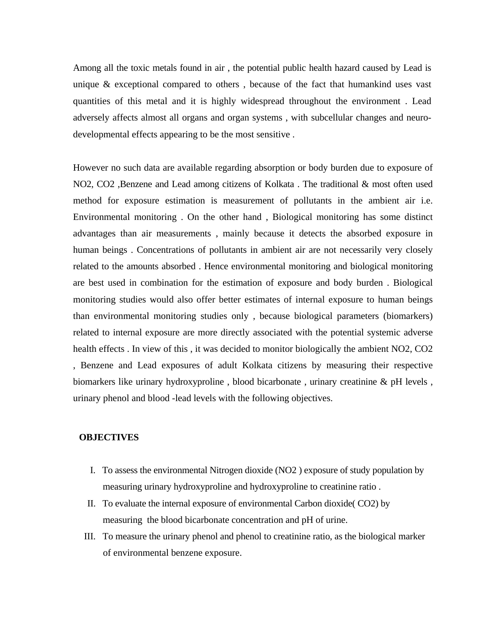Among all the toxic metals found in air , the potential public health hazard caused by Lead is unique & exceptional compared to others , because of the fact that humankind uses vast quantities of this metal and it is highly widespread throughout the environment . Lead adversely affects almost all organs and organ systems , with subcellular changes and neurodevelopmental effects appearing to be the most sensitive .

However no such data are available regarding absorption or body burden due to exposure of NO2, CO2 ,Benzene and Lead among citizens of Kolkata . The traditional & most often used method for exposure estimation is measurement of pollutants in the ambient air i.e. Environmental monitoring . On the other hand , Biological monitoring has some distinct advantages than air measurements , mainly because it detects the absorbed exposure in human beings . Concentrations of pollutants in ambient air are not necessarily very closely related to the amounts absorbed . Hence environmental monitoring and biological monitoring are best used in combination for the estimation of exposure and body burden . Biological monitoring studies would also offer better estimates of internal exposure to human beings than environmental monitoring studies only , because biological parameters (biomarkers) related to internal exposure are more directly associated with the potential systemic adverse health effects . In view of this , it was decided to monitor biologically the ambient NO2, CO2 , Benzene and Lead exposures of adult Kolkata citizens by measuring their respective biomarkers like urinary hydroxyproline , blood bicarbonate , urinary creatinine & pH levels , urinary phenol and blood -lead levels with the following objectives.

### **OBJECTIVES**

- I. To assess the environmental Nitrogen dioxide (NO2 ) exposure of study population by measuring urinary hydroxyproline and hydroxyproline to creatinine ratio .
- II. To evaluate the internal exposure of environmental Carbon dioxide( CO2) by measuring the blood bicarbonate concentration and pH of urine.
- III. To measure the urinary phenol and phenol to creatinine ratio, as the biological marker of environmental benzene exposure.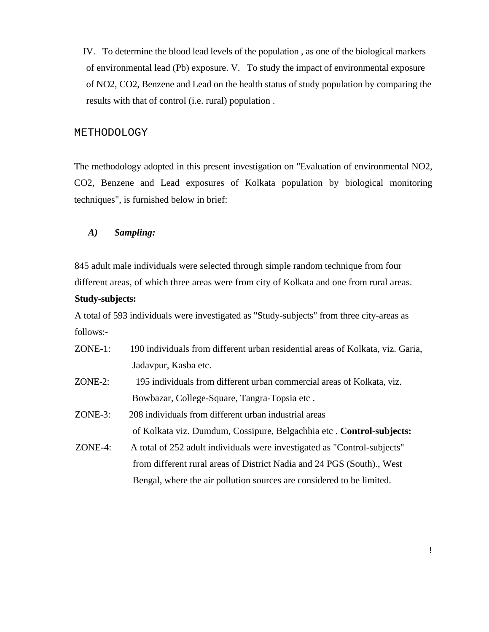IV. To determine the blood lead levels of the population , as one of the biological markers of environmental lead (Pb) exposure. V. To study the impact of environmental exposure of NO2, CO2, Benzene and Lead on the health status of study population by comparing the results with that of control (i.e. rural) population .

### METHODOLOGY

The methodology adopted in this present investigation on "Evaluation of environmental NO2, CO2, Benzene and Lead exposures of Kolkata population by biological monitoring techniques", is furnished below in brief:

### *A) Sampling:*

845 adult male individuals were selected through simple random technique from four different areas, of which three areas were from city of Kolkata and one from rural areas.

### **Study-subjects:**

A total of 593 individuals were investigated as "Study-subjects" from three city-areas as follows:-

- ZONE-1: 190 individuals from different urban residential areas of Kolkata, viz. Garia, Jadavpur, Kasba etc.
- ZONE-2: 195 individuals from different urban commercial areas of Kolkata, viz. Bowbazar, College-Square, Tangra-Topsia etc .
- ZONE-3: 208 individuals from different urban industrial areas of Kolkata viz. Dumdum, Cossipure, Belgachhia etc . **Control-subjects:**
- ZONE-4: A total of 252 adult individuals were investigated as "Control-subjects" from different rural areas of District Nadia and 24 PGS (South)., West Bengal, where the air pollution sources are considered to be limited.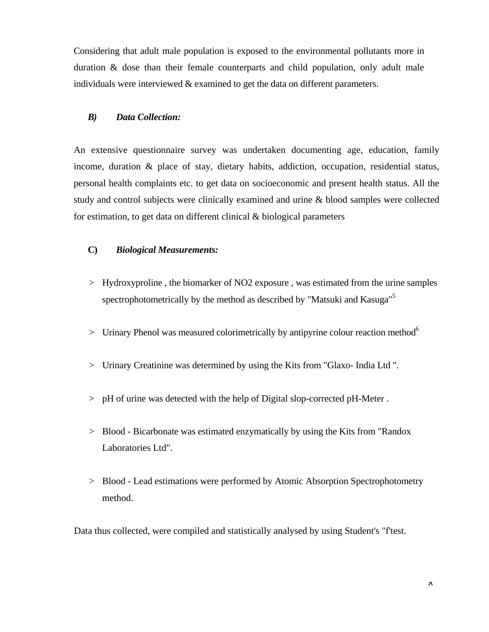Considering that adult male population is exposed to the environmental pollutants more in duration & dose than their female counterparts and child population, only adult male individuals were interviewed & examined to get the data on different parameters.

### *B) Data Collection:*

An extensive questionnaire survey was undertaken documenting age, education, family income, duration & place of stay, dietary habits, addiction, occupation, residential status, personal health complaints etc. to get data on socioeconomic and present health status. All the study and control subjects were clinically examined and urine & blood samples were collected for estimation, to get data on different clinical  $\&$  biological parameters

### **C)** *Biological Measurements:*

- > Hydroxyproline , the biomarker of NO2 exposure , was estimated from the urine samples spectrophotometrically by the method as described by "Matsuki and Kasuga"<sup>5</sup>
- $>$  Urinary Phenol was measured colorimetrically by antipyrine colour reaction method<sup>6</sup>
- > Urinary Creatinine was determined by using the Kits from "Glaxo- India Ltd ".
- > pH of urine was detected with the help of Digital slop-corrected pH-Meter .
- > Blood Bicarbonate was estimated enzymatically by using the Kits from "Randox Laboratories Ltd".
- > Blood Lead estimations were performed by Atomic Absorption Spectrophotometry method.

Data thus collected, were compiled and statistically analysed by using Student's "f'test.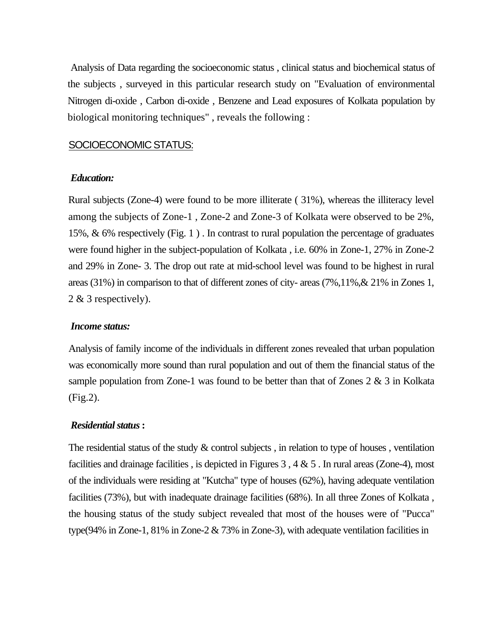Analysis of Data regarding the socioeconomic status , clinical status and biochemical status of the subjects , surveyed in this particular research study on "Evaluation of environmental Nitrogen di-oxide , Carbon di-oxide , Benzene and Lead exposures of Kolkata population by biological monitoring techniques" , reveals the following :

### SOCIOECONOMIC STATUS:

### *Education:*

Rural subjects (Zone-4) were found to be more illiterate ( 31%), whereas the illiteracy level among the subjects of Zone-1 , Zone-2 and Zone-3 of Kolkata were observed to be 2%, 15%, & 6% respectively (Fig. 1 ) . In contrast to rural population the percentage of graduates were found higher in the subject-population of Kolkata , i.e. 60% in Zone-1, 27% in Zone-2 and 29% in Zone- 3. The drop out rate at mid-school level was found to be highest in rural areas (31%) in comparison to that of different zones of city- areas (7%,11%,& 21% in Zones 1, 2 & 3 respectively).

### *Income status:*

Analysis of family income of the individuals in different zones revealed that urban population was economically more sound than rural population and out of them the financial status of the sample population from Zone-1 was found to be better than that of Zones 2 & 3 in Kolkata (Fig.2).

### *Residential status* **:**

The residential status of the study  $\&$  control subjects, in relation to type of houses, ventilation facilities and drainage facilities, is depicted in Figures 3, 4  $\&$  5. In rural areas (Zone-4), most of the individuals were residing at "Kutcha" type of houses (62%), having adequate ventilation facilities (73%), but with inadequate drainage facilities (68%). In all three Zones of Kolkata , the housing status of the study subject revealed that most of the houses were of "Pucca" type(94% in Zone-1, 81% in Zone-2 & 73% in Zone-3), with adequate ventilation facilities in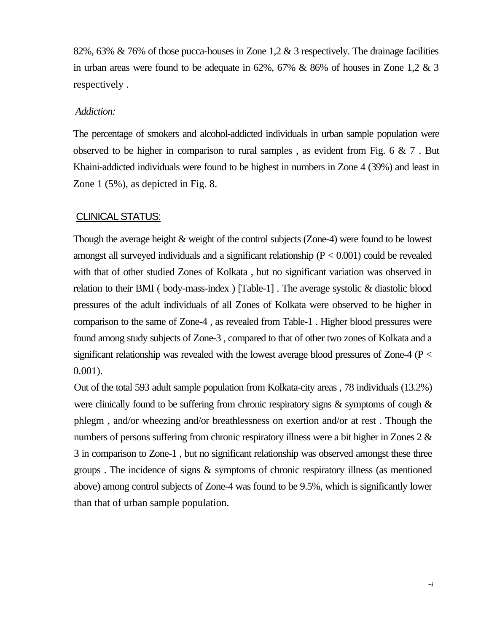82%, 63% & 76% of those pucca-houses in Zone 1,2 & 3 respectively. The drainage facilities in urban areas were found to be adequate in 62%, 67% & 86% of houses in Zone 1,2 & 3 respectively .

### *Addiction:*

The percentage of smokers and alcohol-addicted individuals in urban sample population were observed to be higher in comparison to rural samples, as evident from Fig.  $6 \& 7$ . But Khaini-addicted individuals were found to be highest in numbers in Zone 4 (39%) and least in Zone 1 (5%), as depicted in Fig. 8.

## CLINICAL STATUS:

Though the average height & weight of the control subjects (Zone-4) were found to be lowest amongst all surveyed individuals and a significant relationship  $(P < 0.001)$  could be revealed with that of other studied Zones of Kolkata , but no significant variation was observed in relation to their BMI ( body-mass-index ) [Table-1] . The average systolic & diastolic blood pressures of the adult individuals of all Zones of Kolkata were observed to be higher in comparison to the same of Zone-4 , as revealed from Table-1 . Higher blood pressures were found among study subjects of Zone-3 , compared to that of other two zones of Kolkata and a significant relationship was revealed with the lowest average blood pressures of Zone-4 (P < 0.001).

Out of the total 593 adult sample population from Kolkata-city areas , 78 individuals (13.2%) were clinically found to be suffering from chronic respiratory signs & symptoms of cough & phlegm , and/or wheezing and/or breathlessness on exertion and/or at rest . Though the numbers of persons suffering from chronic respiratory illness were a bit higher in Zones 2 & 3 in comparison to Zone-1 , but no significant relationship was observed amongst these three groups . The incidence of signs & symptoms of chronic respiratory illness (as mentioned above) among control subjects of Zone-4 was found to be 9.5%, which is significantly lower than that of urban sample population.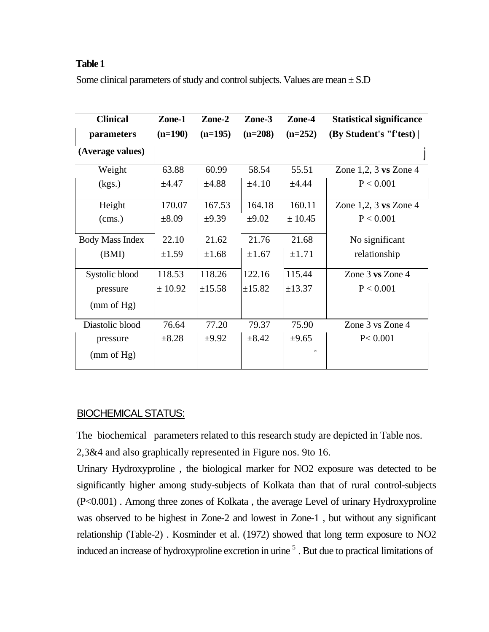### **Table 1**

Some clinical parameters of study and control subjects. Values are mean  $\pm$  S.D

| <b>Clinical</b>        | Zone-1     | Zone-2     | Zone-3     | Zone-4     | <b>Statistical significance</b> |
|------------------------|------------|------------|------------|------------|---------------------------------|
| parameters             | $(n=190)$  | $(n=195)$  | $(n=208)$  | $(n=252)$  | (By Student's "f'test)          |
| (Average values)       |            |            |            |            |                                 |
| Weight                 | 63.88      | 60.99      | 58.54      | 55.51      | Zone $1,2,3$ vs Zone $4$        |
| (kgs.)                 | $\pm 4.47$ | $\pm 4.88$ | $\pm 4.10$ | ±4.44      | P < 0.001                       |
| Height                 | 170.07     | 167.53     | 164.18     | 160.11     | Zone $1,2,3$ vs Zone $4$        |
| $\left($ cms.)         | $\pm 8.09$ | $\pm 9.39$ | $\pm 9.02$ | ± 10.45    | P < 0.001                       |
| <b>Body Mass Index</b> | 22.10      | 21.62      | 21.76      | 21.68      | No significant                  |
| (BMI)                  | $\pm 1.59$ | $\pm 1.68$ | $\pm 1.67$ | $\pm 1.71$ | relationship                    |
| Systolic blood         | 118.53     | 118.26     | 122.16     | 115.44     | Zone $3$ vs Zone $4$            |
| pressure               | ± 10.92    | ±15.58     | ±15.82     | ±13.37     | P < 0.001                       |
| (mm of Hg)             |            |            |            |            |                                 |
| Diastolic blood        | 76.64      | 77.20      | 79.37      | 75.90      | Zone 3 vs Zone 4                |
| pressure               | $\pm 8.28$ | $\pm 9.92$ | $\pm 8.42$ | $\pm 9.65$ | P < 0.001                       |
| (mm of Hg)             |            |            |            | N          |                                 |

### BIOCHEMICAL STATUS:

The biochemical parameters related to this research study are depicted in Table nos.

2,3&4 and also graphically represented in Figure nos. 9to 16.

Urinary Hydroxyproline , the biological marker for NO2 exposure was detected to be significantly higher among study-subjects of Kolkata than that of rural control-subjects (P<0.001) . Among three zones of Kolkata , the average Level of urinary Hydroxyproline was observed to be highest in Zone-2 and lowest in Zone-1 , but without any significant relationship (Table-2) . Kosminder et al. (1972) showed that long term exposure to NO2 induced an increase of hydroxyproline excretion in urine <sup>5</sup>. But due to practical limitations of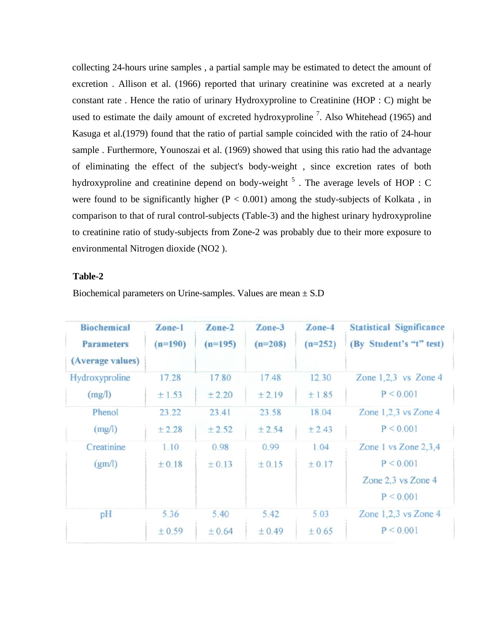collecting 24-hours urine samples , a partial sample may be estimated to detect the amount of excretion . Allison et al. (1966) reported that urinary creatinine was excreted at a nearly constant rate . Hence the ratio of urinary Hydroxyproline to Creatinine (HOP : C) might be used to estimate the daily amount of excreted hydroxyproline<sup>7</sup>. Also Whitehead (1965) and Kasuga et al.(1979) found that the ratio of partial sample coincided with the ratio of 24-hour sample . Furthermore, Younoszai et al. (1969) showed that using this ratio had the advantage of eliminating the effect of the subject's body-weight , since excretion rates of both hydroxyproline and creatinine depend on body-weight  $<sup>5</sup>$  . The average levels of HOP : C</sup> were found to be significantly higher ( $P < 0.001$ ) among the study-subjects of Kolkata, in comparison to that of rural control-subjects (Table-3) and the highest urinary hydroxyproline to creatinine ratio of study-subjects from Zone-2 was probably due to their more exposure to environmental Nitrogen dioxide (NO2 ).

### **Table-2**

| <b>Biochemical</b><br><b>Parameters</b> | Zone-1<br>$(n=190)$ | Zone-2<br>$(n=195)$ | Zone-3<br>$(n=208)$ | Zone-4<br>$(n=252)$ | <b>Statistical Significance</b><br>(By Student's "t" test) |
|-----------------------------------------|---------------------|---------------------|---------------------|---------------------|------------------------------------------------------------|
| (Average values)                        |                     |                     |                     |                     |                                                            |
| Hydroxyproline                          | 17.28               | 17.80               | 17.48               | 12.30               | Zone $1,2,3$ vs Zone 4                                     |
| (mg/l)                                  | ±1.53               | ± 2.20              | ± 2.19              | ±1.85               | P < 0.001                                                  |
| Phenol                                  | 23.22               | 23.41               | 23.58               | 18.04               | Zone $1,2,3$ vs Zone 4                                     |
| (mg/l)                                  | ±2.28               | ±2.52               | ± 2.54              | ± 2.43              | P < 0.001                                                  |
| Creatinine                              | 1.10                | 0.98                | 0.99                | 1.04                | Zone 1 vs Zone $2,3,4$                                     |
| (gm/l)                                  | ± 0.18              | ± 0.13              | ± 0.15              | ± 0.17              | P < 0.001                                                  |
|                                         |                     |                     |                     |                     | Zone 2,3 vs Zone 4                                         |
|                                         |                     |                     |                     |                     | P < 0.001                                                  |
| pH                                      | 5.36                | 5.40                | 5.42                | 5.03                | Zone $1,2,3$ vs Zone 4                                     |
|                                         | ± 0.59              | ± 0.64              | ± 0.49              | ± 0.65              | P < 0.001                                                  |

Biochemical parameters on Urine-samples. Values are mean ± S.D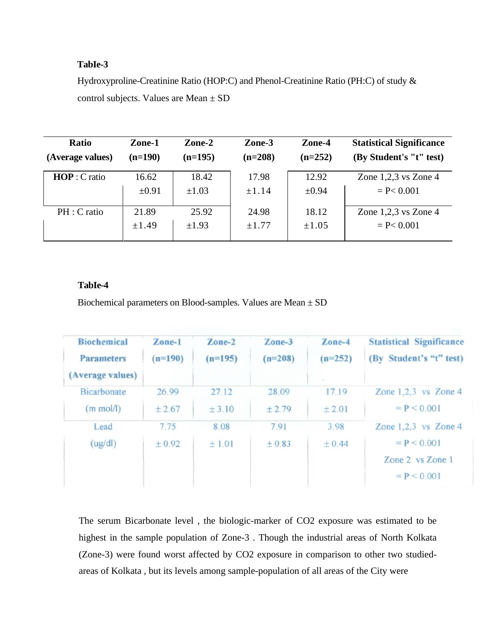### **TabIe-3**

Hydroxyproline-Creatinine Ratio (HOP:C) and Phenol-Creatinine Ratio (PH:C) of study & control subjects. Values are Mean ± SD

| <b>Ratio</b>     | Zone-1     | Zone-2     | Zone-3     | Zone-4     | <b>Statistical Significance</b> |
|------------------|------------|------------|------------|------------|---------------------------------|
| (Average values) | $(n=190)$  | $(n=195)$  | $(n=208)$  | $(n=252)$  | (By Student's "t" test)         |
| $HOP: C$ ratio   | 16.62      | 18.42      | 17.98      | 12.92      | Zone $1,2,3$ vs Zone $4$        |
|                  | $\pm 0.91$ | $\pm 1.03$ | $\pm 1.14$ | $\pm 0.94$ | $= P < 0.001$                   |
| PH : C ratio     | 21.89      | 25.92      | 24.98      | 18.12      | Zone $1,2,3$ vs Zone $4$        |
|                  | $\pm 1.49$ | $\pm 1.93$ | $\pm 1.77$ | $\pm 1.05$ | $= P < 0.001$                   |

### **TabIe-4**

Biochemical parameters on Blood-samples. Values are Mean ± SD

| <b>Biochemical</b><br><b>Parameters</b><br>(Average values) | Zone-1<br>$(n=190)$ | Zone-2<br>$(n=195)$ | Zone-3<br>$(n=208)$ | Zone-4<br>$(n=252)$ | <b>Statistical Significance</b><br>(By Student's "t" test) |
|-------------------------------------------------------------|---------------------|---------------------|---------------------|---------------------|------------------------------------------------------------|
| <b>Bicarbonate</b>                                          | 26.99               | 27.12               | 28.09               | 17.19               | Zone $1,2,3$ vs Zone 4                                     |
| $(m \text{ mol/l})$                                         | ± 2.67              | ± 3.10              | ±2.79               | ±2.01               | $= P < 0.001$                                              |
| Lead                                                        | 7.75                | 8.08                | 7.91                | 3.98                | Zone $1,2,3$ vs Zone 4                                     |
| (ug/dl)                                                     | ±0.92               | ±1.01               | ± 0.83              | ± 0.44              | $= P < 0.001$                                              |
|                                                             |                     |                     |                     |                     | Zone 2 vs Zone 1<br>$= P < 0.001 -$                        |

The serum Bicarbonate level , the biologic-marker of CO2 exposure was estimated to be highest in the sample population of Zone-3 . Though the industrial areas of North Kolkata (Zone-3) were found worst affected by CO2 exposure in comparison to other two studiedareas of Kolkata , but its levels among sample-population of all areas of the City were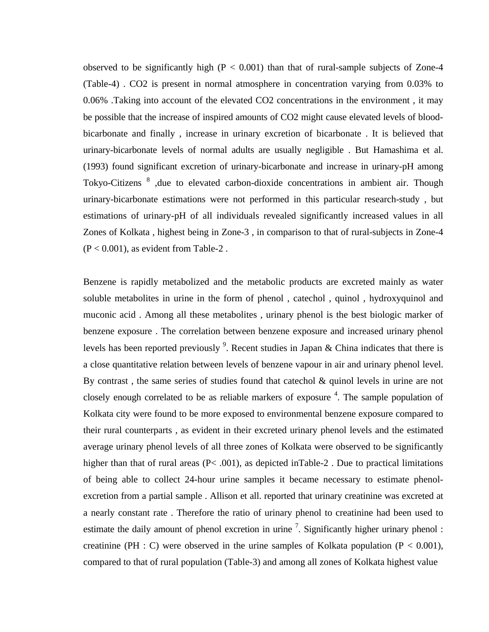observed to be significantly high  $(P < 0.001)$  than that of rural-sample subjects of Zone-4 (Table-4) . CO2 is present in normal atmosphere in concentration varying from 0.03% to 0.06% .Taking into account of the elevated CO2 concentrations in the environment , it may be possible that the increase of inspired amounts of CO2 might cause elevated levels of bloodbicarbonate and finally , increase in urinary excretion of bicarbonate . It is believed that urinary-bicarbonate levels of normal adults are usually negligible . But Hamashima et al. (1993) found significant excretion of urinary-bicarbonate and increase in urinary-pH among Tokyo-Citizens <sup>8</sup>, due to elevated carbon-dioxide concentrations in ambient air. Though urinary-bicarbonate estimations were not performed in this particular research-study , but estimations of urinary-pH of all individuals revealed significantly increased values in all Zones of Kolkata , highest being in Zone-3 , in comparison to that of rural-subjects in Zone-4  $(P < 0.001)$ , as evident from Table-2.

Benzene is rapidly metabolized and the metabolic products are excreted mainly as water soluble metabolites in urine in the form of phenol , catechol , quinol , hydroxyquinol and muconic acid . Among all these metabolites , urinary phenol is the best biologic marker of benzene exposure . The correlation between benzene exposure and increased urinary phenol levels has been reported previously  $\frac{9}{2}$ . Recent studies in Japan & China indicates that there is a close quantitative relation between levels of benzene vapour in air and urinary phenol level. By contrast, the same series of studies found that cate chol  $\&$  quinol levels in urine are not closely enough correlated to be as reliable markers of exposure  $4$ . The sample population of Kolkata city were found to be more exposed to environmental benzene exposure compared to their rural counterparts , as evident in their excreted urinary phenol levels and the estimated average urinary phenol levels of all three zones of Kolkata were observed to be significantly higher than that of rural areas (P< .001), as depicted inTable-2. Due to practical limitations of being able to collect 24-hour urine samples it became necessary to estimate phenolexcretion from a partial sample . Allison et all. reported that urinary creatinine was excreted at a nearly constant rate . Therefore the ratio of urinary phenol to creatinine had been used to estimate the daily amount of phenol excretion in urine  $\frac{7}{1}$ . Significantly higher urinary phenol : creatinine (PH : C) were observed in the urine samples of Kolkata population ( $P < 0.001$ ), compared to that of rural population (Table-3) and among all zones of Kolkata highest value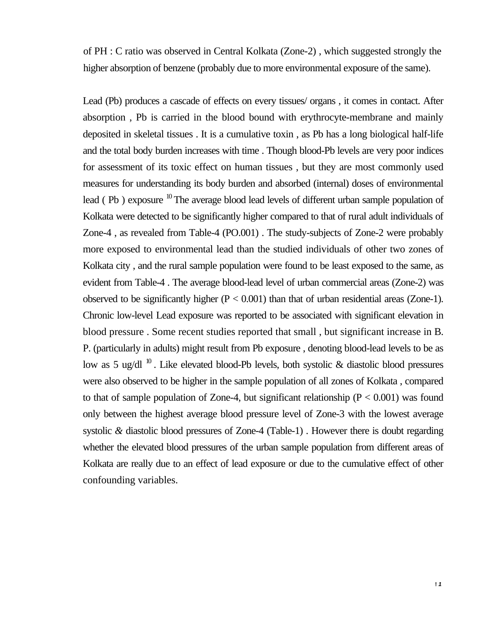of PH : C ratio was observed in Central Kolkata (Zone-2) , which suggested strongly the higher absorption of benzene (probably due to more environmental exposure of the same).

Lead (Pb) produces a cascade of effects on every tissues/ organs , it comes in contact. After absorption , Pb is carried in the blood bound with erythrocyte-membrane and mainly deposited in skeletal tissues . It is a cumulative toxin , as Pb has a long biological half-life and the total body burden increases with time . Though blood-Pb levels are very poor indices for assessment of its toxic effect on human tissues , but they are most commonly used measures for understanding its body burden and absorbed (internal) doses of environmental lead (Pb) exposure <sup>10</sup> The average blood lead levels of different urban sample population of Kolkata were detected to be significantly higher compared to that of rural adult individuals of Zone-4 , as revealed from Table-4 (PO.001) . The study-subjects of Zone-2 were probably more exposed to environmental lead than the studied individuals of other two zones of Kolkata city , and the rural sample population were found to be least exposed to the same, as evident from Table-4 . The average blood-lead level of urban commercial areas (Zone-2) was observed to be significantly higher  $(P < 0.001)$  than that of urban residential areas (Zone-1). Chronic low-level Lead exposure was reported to be associated with significant elevation in blood pressure . Some recent studies reported that small , but significant increase in B. P. (particularly in adults) might result from Pb exposure , denoting blood-lead levels to be as low as 5 ug/dl  $^{10}$ . Like elevated blood-Pb levels, both systolic & diastolic blood pressures were also observed to be higher in the sample population of all zones of Kolkata , compared to that of sample population of Zone-4, but significant relationship ( $P < 0.001$ ) was found only between the highest average blood pressure level of Zone-3 with the lowest average systolic *&* diastolic blood pressures of Zone-4 (Table-1) . However there is doubt regarding whether the elevated blood pressures of the urban sample population from different areas of Kolkata are really due to an effect of lead exposure or due to the cumulative effect of other confounding variables.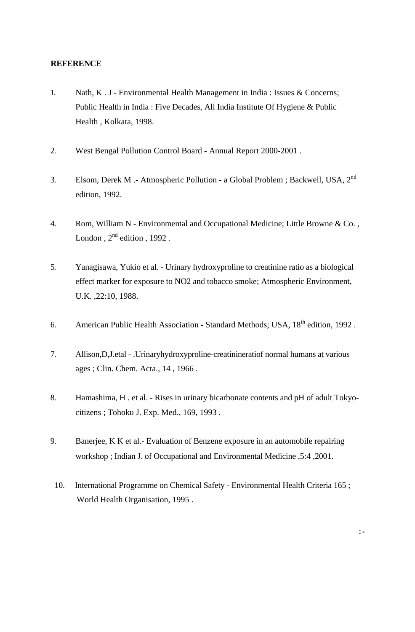### **REFERENCE**

- 1. Nath, K . J Environmental Health Management in India : Issues & Concerns; Public Health in India : Five Decades, All India Institute Of Hygiene & Public Health , Kolkata, 1998.
- 2. West Bengal Pollution Control Board Annual Report 2000-2001 .
- 3. Elsom, Derek M .- Atmospheric Pollution a Global Problem ; Backwell, USA, 2nd edition, 1992.
- 4. Rom, William N Environmental and Occupational Medicine; Little Browne & Co. , London,  $2<sup>nd</sup>$  edition, 1992.
- 5. Yanagisawa, Yukio et al. Urinary hydroxyproline to creatinine ratio as a biological effect marker for exposure to NO2 and tobacco smoke; Atmospheric Environment, U.K. ,22:10, 1988.
- 6. American Public Health Association Standard Methods; USA, 18<sup>th</sup> edition, 1992.
- 7. Allison,D,J.etal .Urinaryhydroxyproline-creatinineratiof normal humans at various ages ; Clin. Chem. Acta., 14 , 1966 .
- 8. Hamashima, H . et al. Rises in urinary bicarbonate contents and pH of adult Tokyocitizens ; Tohoku J. Exp. Med., 169, 1993 .
- 9. Banerjee, K K et al.- Evaluation of Benzene exposure in an automobile repairing workshop ; Indian J. of Occupational and Environmental Medicine ,5:4 ,2001.
	- 10. International Programme on Chemical Safety Environmental Health Criteria 165 ; World Health Organisation, 1995 .

**:** *-*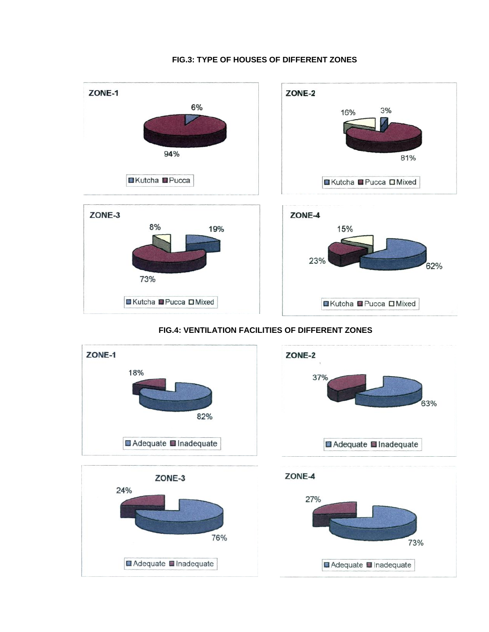

#### **FIG.3: TYPE OF HOUSES OF DIFFERENT ZONES**

### **FIG.4: VENTILATION FACILITIES OF DIFFERENT ZONES**

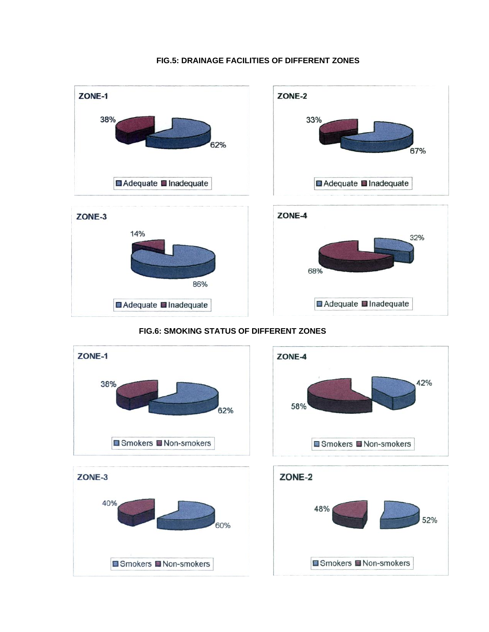#### **FIG.5: DRAINAGE FACILITIES OF DIFFERENT ZONES**



### **FIG.6: SMOKING STATUS OF DIFFERENT ZONES**

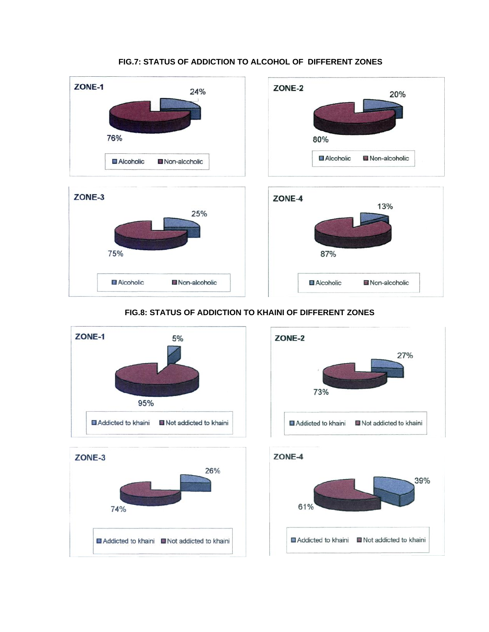### **FIG.7: STATUS OF ADDICTION TO ALCOHOL OF DIFFERENT ZONES**









### **FIG.8: STATUS OF ADDICTION TO KHAINI OF DIFFERENT ZONES**

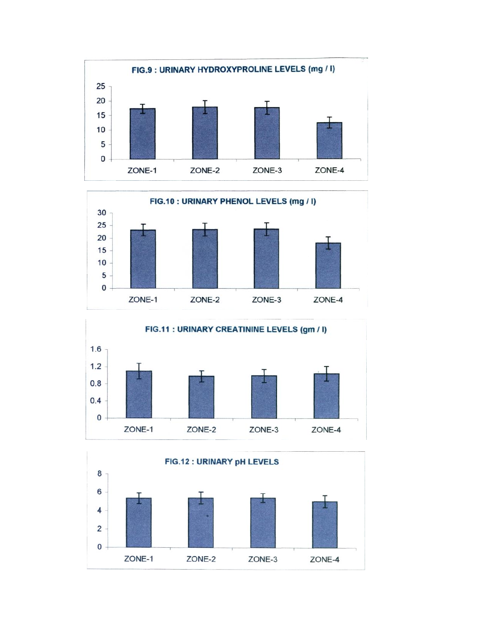